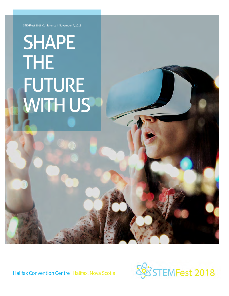STEMFest 2018 Conference I November 7, 2018

## SHAPE THE FUTURE WITH US

Halifax Convention Centre Halifax. Nova Scotia

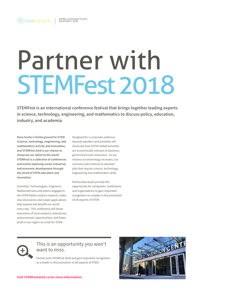# Partner with STEMFest 2018

**STEMFest is an international conference festival that brings together leading experts in science, technology, engineering, and mathematics to discuss policy, education, industry, and academia.**

**Nova Scotia is fertile ground for STEM (science, technology, engineering, and mathematics) activity and innovation, and STEMFest 2018 is our chance to showcase our talent to the world. STEMFest is a collection of conferences and events exploring social, industrial, and economic development through the world of STEM education and innovation.**

Scientists, Technologists, Engineers, Mathematicians and others engaged in the STEM fields conduct research, make new discoveries and create applications that expand and benefit our world every day. This conference will boost awareness of local research, enterprises, and economic opportunities, and foster pride in our region as a hub for STEM.

Designed for a corporate audience, keynote speakers and panelists will showcase how STEM related activities are economically relevant to business, government and consumers. As our reliance on technology increases, our economy will continue to demand jobs that require science, technology, engineering and mathematics skills.

Partnership levels provide the opportunity for companies, institutions, and organizations to gain important recognition as a leader in the promotion of all aspects of STEM.



#### This is an opportunity you won't want to miss.

Partner with STEMFest 2018 and gain important recognition as a leader in the promotion of all aspects of STEM.